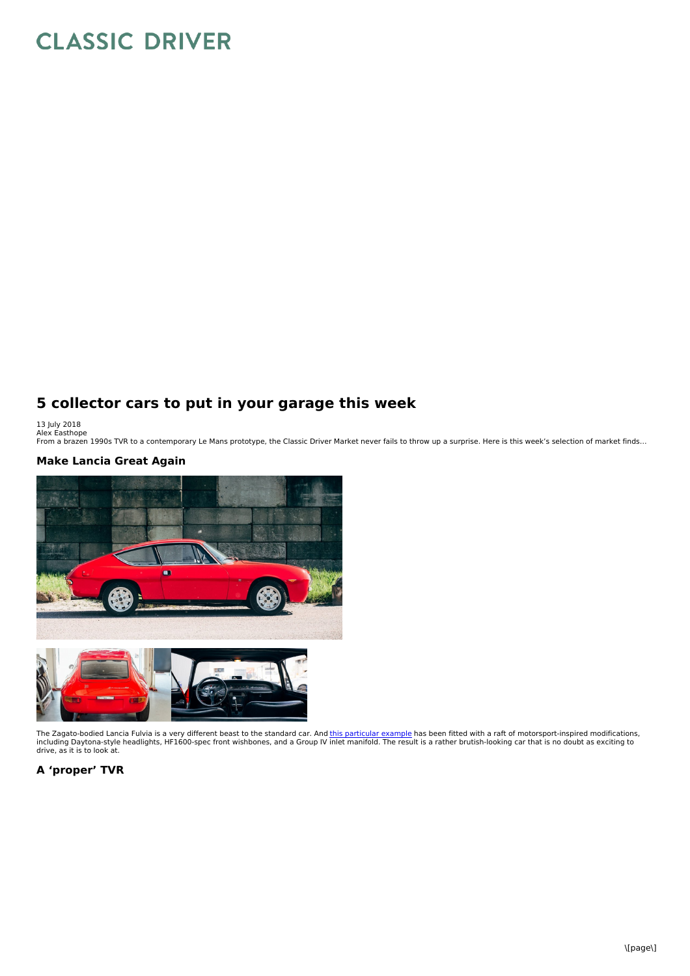# **CLASSIC DRIVER**

## **5 collector cars to put in your garage this week**

13 July 2018<br>Alex Easthope<br>From a brazen 1990s TVR to a contemporary Le Mans prototype, the Classic Driver Market never fails to throw up a surprise. Here is this week's selection of market finds…

### **Make Lancia Great Again**



The Zagato-bodied Lancia Fulvia is a very different beast to the standard car. And <u>this [particular](https://www.classicdriver.com/en/car/lancia/fulvia/1972/542951) example</u> has been fitted with a raft of motorsport-inspired modifications,<br>including Daytona-style headlights, HF1600-spec

#### **A 'proper' TVR**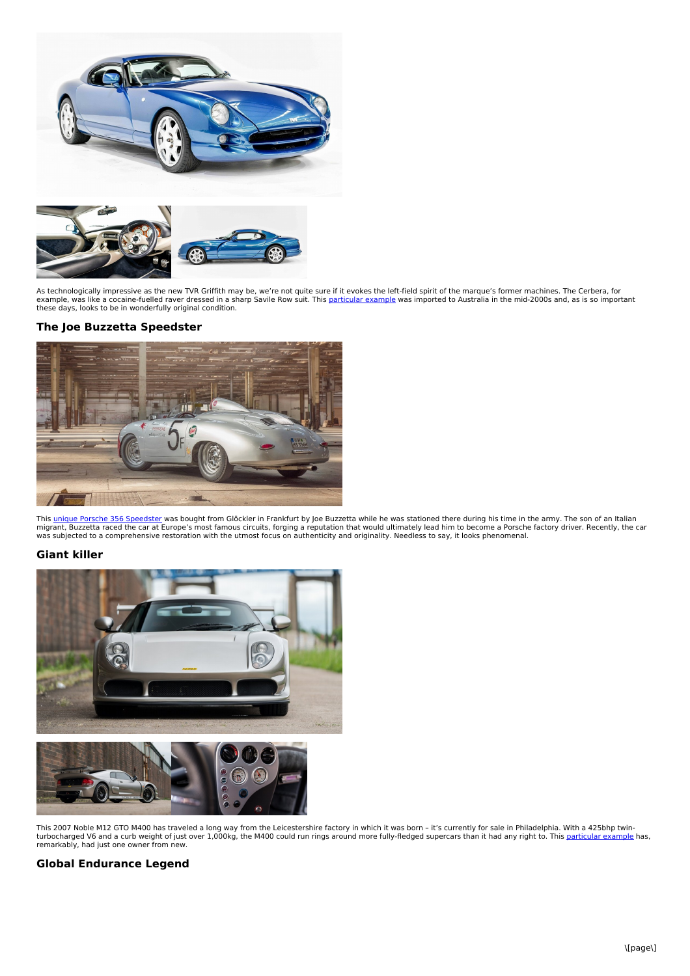

As technologically impressive as the new TVR Griffith may be, we're not quite sure if it evokes the left-field spirit of the marque's former machines. The Cerbera, for<br>example, was like a cocaine-fuelled raver dressed in a

### **The Joe Buzzetta Speedster**



This <u>unique Porsche 356 [Speedster](https://www.classicdriver.com/en/car/porsche/356/1958/540991)</u> was bought from Glöckler in Frankfurt by Joe Buzzetta while he was stationed there during his time in the army. The son of an Italian<br>migrant, Buzzetta raced the car at Europe's most fam

#### **Giant killer**



This 2007 Noble M12 GTO M400 has traveled a long way from the Leicestershire factory in which it was born – it's currently for sale in Philadelphia. With a 425bhp twin-<br>turbocharged V6 and a curb weight of just over 1,000k remarkably, had just one owner from new.

#### **Global Endurance Legend**